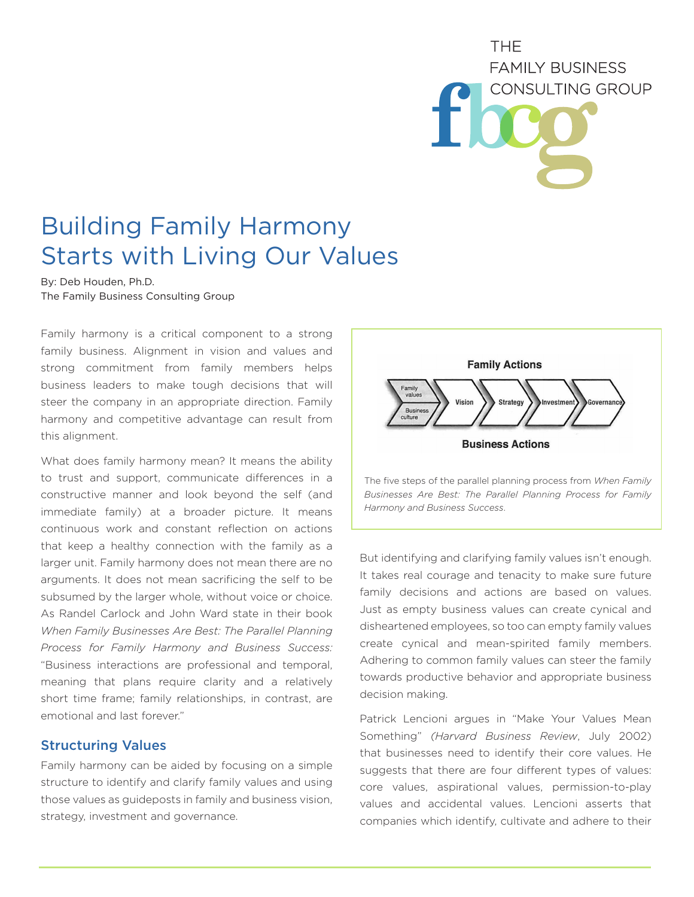**THF FAMILY BUSINESS** CONSULTING GROUP

# Building Family Harmony Starts with Living Our Values

By: Deb Houden, Ph.D. The Family Business Consulting Group

Family harmony is a critical component to a strong family business. Alignment in vision and values and strong commitment from family members helps business leaders to make tough decisions that will steer the company in an appropriate direction. Family harmony and competitive advantage can result from this alignment.

What does family harmony mean? It means the ability to trust and support, communicate differences in a constructive manner and look beyond the self (and immediate family) at a broader picture. It means continuous work and constant reflection on actions that keep a healthy connection with the family as a larger unit. Family harmony does not mean there are no arguments. It does not mean sacrificing the self to be subsumed by the larger whole, without voice or choice. As Randel Carlock and John Ward state in their book *When Family Businesses Are Best: The Parallel Planning Process for Family Harmony and Business Success:*  "Business interactions are professional and temporal, meaning that plans require clarity and a relatively short time frame; family relationships, in contrast, are emotional and last forever."

### Structuring Values

Family harmony can be aided by focusing on a simple structure to identify and clarify family values and using those values as guideposts in family and business vision, strategy, investment and governance.



The five steps of the parallel planning process from *When Family Businesses Are Best: The Parallel Planning Process for Family Harmony and Business Success*.

But identifying and clarifying family values isn't enough. It takes real courage and tenacity to make sure future family decisions and actions are based on values. Just as empty business values can create cynical and disheartened employees, so too can empty family values create cynical and mean-spirited family members. Adhering to common family values can steer the family towards productive behavior and appropriate business decision making.

Patrick Lencioni argues in "Make Your Values Mean Something" *(Harvard Business Review*, July 2002) that businesses need to identify their core values. He suggests that there are four different types of values: core values, aspirational values, permission-to-play values and accidental values. Lencioni asserts that companies which identify, cultivate and adhere to their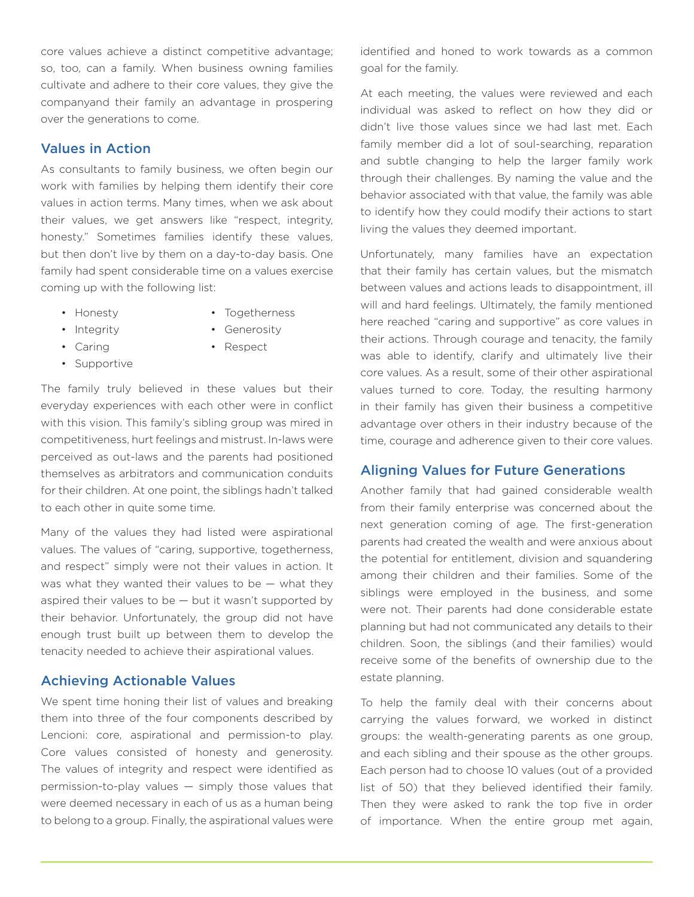core values achieve a distinct competitive advantage; so, too, can a family. When business owning families cultivate and adhere to their core values, they give the companyand their family an advantage in prospering over the generations to come.

## Values in Action

As consultants to family business, we often begin our work with families by helping them identify their core values in action terms. Many times, when we ask about their values, we get answers like "respect, integrity, honesty." Sometimes families identify these values, but then don't live by them on a day-to-day basis. One family had spent considerable time on a values exercise coming up with the following list:

- Honesty
- Togetherness • Generosity
- Integrity • Caring
- Respect
- Supportive

The family truly believed in these values but their everyday experiences with each other were in conflict with this vision. This family's sibling group was mired in competitiveness, hurt feelings and mistrust. In-laws were perceived as out-laws and the parents had positioned themselves as arbitrators and communication conduits for their children. At one point, the siblings hadn't talked to each other in quite some time.

Many of the values they had listed were aspirational values. The values of "caring, supportive, togetherness, and respect" simply were not their values in action. It was what they wanted their values to be — what they aspired their values to be  $-$  but it wasn't supported by their behavior. Unfortunately, the group did not have enough trust built up between them to develop the tenacity needed to achieve their aspirational values.

#### Achieving Actionable Values

We spent time honing their list of values and breaking them into three of the four components described by Lencioni: core, aspirational and permission-to play. Core values consisted of honesty and generosity. The values of integrity and respect were identified as permission-to-play values — simply those values that were deemed necessary in each of us as a human being to belong to a group. Finally, the aspirational values were identified and honed to work towards as a common goal for the family.

At each meeting, the values were reviewed and each individual was asked to reflect on how they did or didn't live those values since we had last met. Each family member did a lot of soul-searching, reparation and subtle changing to help the larger family work through their challenges. By naming the value and the behavior associated with that value, the family was able to identify how they could modify their actions to start living the values they deemed important.

Unfortunately, many families have an expectation that their family has certain values, but the mismatch between values and actions leads to disappointment, ill will and hard feelings. Ultimately, the family mentioned here reached "caring and supportive" as core values in their actions. Through courage and tenacity, the family was able to identify, clarify and ultimately live their core values. As a result, some of their other aspirational values turned to core. Today, the resulting harmony in their family has given their business a competitive advantage over others in their industry because of the time, courage and adherence given to their core values.

#### Aligning Values for Future Generations

Another family that had gained considerable wealth from their family enterprise was concerned about the next generation coming of age. The first-generation parents had created the wealth and were anxious about the potential for entitlement, division and squandering among their children and their families. Some of the siblings were employed in the business, and some were not. Their parents had done considerable estate planning but had not communicated any details to their children. Soon, the siblings (and their families) would receive some of the benefits of ownership due to the estate planning.

To help the family deal with their concerns about carrying the values forward, we worked in distinct groups: the wealth-generating parents as one group, and each sibling and their spouse as the other groups. Each person had to choose 10 values (out of a provided list of 50) that they believed identified their family. Then they were asked to rank the top five in order of importance. When the entire group met again,